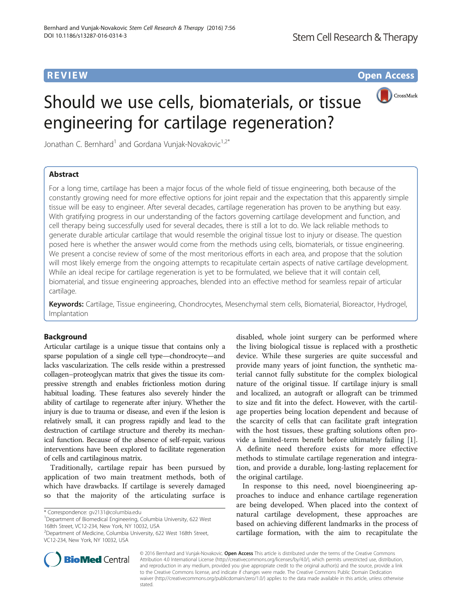**REVIEW CONSTRUCTION CONSTRUCTION CONSTRUCTS** 



# Should we use cells, biomaterials, or tissue engineering for cartilage regeneration?

Jonathan C. Bernhard<sup>1</sup> and Gordana Vunjak-Novakovic<sup>1,2\*</sup>

# Abstract

For a long time, cartilage has been a major focus of the whole field of tissue engineering, both because of the constantly growing need for more effective options for joint repair and the expectation that this apparently simple tissue will be easy to engineer. After several decades, cartilage regeneration has proven to be anything but easy. With gratifying progress in our understanding of the factors governing cartilage development and function, and cell therapy being successfully used for several decades, there is still a lot to do. We lack reliable methods to generate durable articular cartilage that would resemble the original tissue lost to injury or disease. The question posed here is whether the answer would come from the methods using cells, biomaterials, or tissue engineering. We present a concise review of some of the most meritorious efforts in each area, and propose that the solution will most likely emerge from the ongoing attempts to recapitulate certain aspects of native cartilage development. While an ideal recipe for cartilage regeneration is yet to be formulated, we believe that it will contain cell, biomaterial, and tissue engineering approaches, blended into an effective method for seamless repair of articular cartilage.

Keywords: Cartilage, Tissue engineering, Chondrocytes, Mesenchymal stem cells, Biomaterial, Bioreactor, Hydrogel, Implantation

# Background

Articular cartilage is a unique tissue that contains only a sparse population of a single cell type—chondrocyte—and lacks vascularization. The cells reside within a prestressed collagen–proteoglycan matrix that gives the tissue its compressive strength and enables frictionless motion during habitual loading. These features also severely hinder the ability of cartilage to regenerate after injury. Whether the injury is due to trauma or disease, and even if the lesion is relatively small, it can progress rapidly and lead to the destruction of cartilage structure and thereby its mechanical function. Because of the absence of self-repair, various interventions have been explored to facilitate regeneration of cells and cartilaginous matrix.

Traditionally, cartilage repair has been pursued by application of two main treatment methods, both of which have drawbacks. If cartilage is severely damaged so that the majority of the articulating surface is

disabled, whole joint surgery can be performed where the living biological tissue is replaced with a prosthetic device. While these surgeries are quite successful and provide many years of joint function, the synthetic material cannot fully substitute for the complex biological nature of the original tissue. If cartilage injury is small and localized, an autograft or allograft can be trimmed to size and fit into the defect. However, with the cartilage properties being location dependent and because of the scarcity of cells that can facilitate graft integration with the host tissues, these grafting solutions often provide a limited-term benefit before ultimately failing [\[1](#page-6-0)]. A definite need therefore exists for more effective methods to stimulate cartilage regeneration and integration, and provide a durable, long-lasting replacement for the original cartilage.

In response to this need, novel bioengineering approaches to induce and enhance cartilage regeneration are being developed. When placed into the context of natural cartilage development, these approaches are based on achieving different landmarks in the process of cartilage formation, with the aim to recapitulate the



© 2016 Bernhard and Vunjak-Novakovic. Open Access This article is distributed under the terms of the Creative Commons Attribution 4.0 International License [\(http://creativecommons.org/licenses/by/4.0/](http://creativecommons.org/licenses/by/4.0/)), which permits unrestricted use, distribution, and reproduction in any medium, provided you give appropriate credit to the original author(s) and the source, provide a link to the Creative Commons license, and indicate if changes were made. The Creative Commons Public Domain Dedication waiver [\(http://creativecommons.org/publicdomain/zero/1.0/\)](http://creativecommons.org/publicdomain/zero/1.0/) applies to the data made available in this article, unless otherwise stated

<sup>\*</sup> Correspondence: [gv2131@columbia.edu](mailto:gv2131@columbia.edu) <sup>1</sup>

<sup>&</sup>lt;sup>1</sup>Department of Biomedical Engineering, Columbia University, 622 West 168th Street, VC12-234, New York, NY 10032, USA

<sup>&</sup>lt;sup>2</sup> Department of Medicine, Columbia University, 622 West 168th Street, VC12-234, New York, NY 10032, USA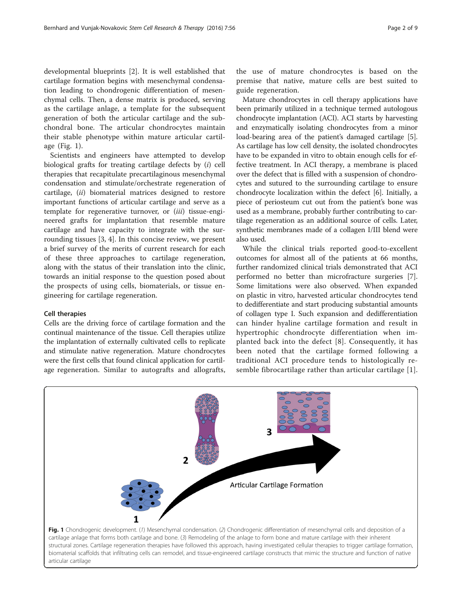developmental blueprints [\[2](#page-6-0)]. It is well established that cartilage formation begins with mesenchymal condensation leading to chondrogenic differentiation of mesenchymal cells. Then, a dense matrix is produced, serving as the cartilage anlage, a template for the subsequent generation of both the articular cartilage and the subchondral bone. The articular chondrocytes maintain their stable phenotype within mature articular cartilage (Fig. 1).

Scientists and engineers have attempted to develop biological grafts for treating cartilage defects by (i) cell therapies that recapitulate precartilaginous mesenchymal condensation and stimulate/orchestrate regeneration of cartilage, (ii) biomaterial matrices designed to restore important functions of articular cartilage and serve as a template for regenerative turnover, or (iii) tissue-engineered grafts for implantation that resemble mature cartilage and have capacity to integrate with the surrounding tissues [[3, 4\]](#page-6-0). In this concise review, we present a brief survey of the merits of current research for each of these three approaches to cartilage regeneration, along with the status of their translation into the clinic, towards an initial response to the question posed about the prospects of using cells, biomaterials, or tissue engineering for cartilage regeneration.

# Cell therapies

Cells are the driving force of cartilage formation and the continual maintenance of the tissue. Cell therapies utilize the implantation of externally cultivated cells to replicate and stimulate native regeneration. Mature chondrocytes were the first cells that found clinical application for cartilage regeneration. Similar to autografts and allografts, the use of mature chondrocytes is based on the premise that native, mature cells are best suited to guide regeneration.

Mature chondrocytes in cell therapy applications have been primarily utilized in a technique termed autologous chondrocyte implantation (ACI). ACI starts by harvesting and enzymatically isolating chondrocytes from a minor load-bearing area of the patient's damaged cartilage [[5](#page-6-0)]. As cartilage has low cell density, the isolated chondrocytes have to be expanded in vitro to obtain enough cells for effective treatment. In ACI therapy, a membrane is placed over the defect that is filled with a suspension of chondrocytes and sutured to the surrounding cartilage to ensure chondrocyte localization within the defect [\[6](#page-6-0)]. Initially, a piece of periosteum cut out from the patient's bone was used as a membrane, probably further contributing to cartilage regeneration as an additional source of cells. Later, synthetic membranes made of a collagen I/III blend were also used.

While the clinical trials reported good-to-excellent outcomes for almost all of the patients at 66 months, further randomized clinical trials demonstrated that ACI performed no better than microfracture surgeries [\[7](#page-6-0)]. Some limitations were also observed. When expanded on plastic in vitro, harvested articular chondrocytes tend to dedifferentiate and start producing substantial amounts of collagen type I. Such expansion and dedifferentiation can hinder hyaline cartilage formation and result in hypertrophic chondrocyte differentiation when implanted back into the defect [\[8](#page-6-0)]. Consequently, it has been noted that the cartilage formed following a traditional ACI procedure tends to histologically resemble fibrocartilage rather than articular cartilage [[1](#page-6-0)].

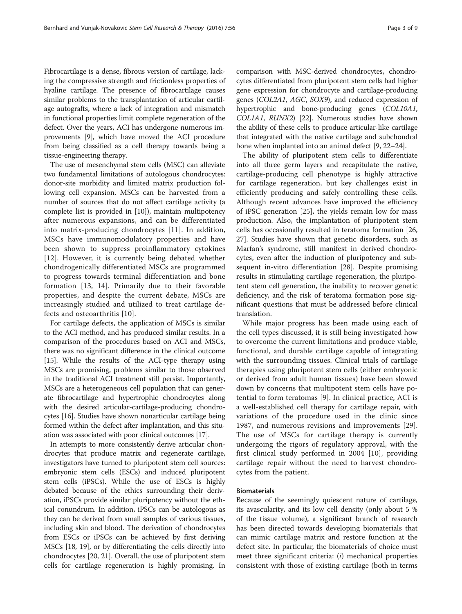Fibrocartilage is a dense, fibrous version of cartilage, lacking the compressive strength and frictionless properties of hyaline cartilage. The presence of fibrocartilage causes similar problems to the transplantation of articular cartilage autografts, where a lack of integration and mismatch in functional properties limit complete regeneration of the defect. Over the years, ACI has undergone numerous improvements [[9\]](#page-6-0), which have moved the ACI procedure from being classified as a cell therapy towards being a tissue-engineering therapy.

The use of mesenchymal stem cells (MSC) can alleviate two fundamental limitations of autologous chondrocytes: donor-site morbidity and limited matrix production following cell expansion. MSCs can be harvested from a number of sources that do not affect cartilage activity (a complete list is provided in [[10](#page-6-0)]), maintain multipotency after numerous expansions, and can be differentiated into matrix-producing chondrocytes [\[11](#page-6-0)]. In addition, MSCs have immunomodulatory properties and have been shown to suppress proinflammatory cytokines [[12](#page-6-0)]. However, it is currently being debated whether chondrogenically differentiated MSCs are programmed to progress towards terminal differentiation and bone formation [[13, 14\]](#page-6-0). Primarily due to their favorable properties, and despite the current debate, MSCs are increasingly studied and utilized to treat cartilage defects and osteoarthritis [[10\]](#page-6-0).

For cartilage defects, the application of MSCs is similar to the ACI method, and has produced similar results. In a comparison of the procedures based on ACI and MSCs, there was no significant difference in the clinical outcome [[15](#page-6-0)]. While the results of the ACI-type therapy using MSCs are promising, problems similar to those observed in the traditional ACI treatment still persist. Importantly, MSCs are a heterogeneous cell population that can generate fibrocartilage and hypertrophic chondrocytes along with the desired articular-cartilage-producing chondrocytes [\[16\]](#page-6-0). Studies have shown nonarticular cartilage being formed within the defect after implantation, and this situation was associated with poor clinical outcomes [[17](#page-6-0)].

In attempts to more consistently derive articular chondrocytes that produce matrix and regenerate cartilage, investigators have turned to pluripotent stem cell sources: embryonic stem cells (ESCs) and induced pluripotent stem cells (iPSCs). While the use of ESCs is highly debated because of the ethics surrounding their derivation, iPSCs provide similar pluripotency without the ethical conundrum. In addition, iPSCs can be autologous as they can be derived from small samples of various tissues, including skin and blood. The derivation of chondrocytes from ESCs or iPSCs can be achieved by first deriving MSCs [\[18](#page-6-0), [19](#page-6-0)], or by differentiating the cells directly into chondrocytes [[20](#page-6-0), [21\]](#page-6-0). Overall, the use of pluripotent stem cells for cartilage regeneration is highly promising. In comparison with MSC-derived chondrocytes, chondrocytes differentiated from pluripotent stem cells had higher gene expression for chondrocyte and cartilage-producing genes (COL2A1, AGC, SOX9), and reduced expression of hypertrophic and bone-producing genes (COL10A1, COL1A1, RUNX2) [\[22\]](#page-6-0). Numerous studies have shown the ability of these cells to produce articular-like cartilage that integrated with the native cartilage and subchondral bone when implanted into an animal defect [\[9](#page-6-0), [22](#page-6-0)–[24](#page-6-0)].

The ability of pluripotent stem cells to differentiate into all three germ layers and recapitulate the native, cartilage-producing cell phenotype is highly attractive for cartilage regeneration, but key challenges exist in efficiently producing and safely controlling these cells. Although recent advances have improved the efficiency of iPSC generation [\[25\]](#page-6-0), the yields remain low for mass production. Also, the implantation of pluripotent stem cells has occasionally resulted in teratoma formation [[26](#page-6-0), [27\]](#page-7-0). Studies have shown that genetic disorders, such as Marfan's syndrome, still manifest in derived chondrocytes, even after the induction of pluripotency and subsequent in-vitro differentiation [\[28\]](#page-7-0). Despite promising results in stimulating cartilage regeneration, the pluripotent stem cell generation, the inability to recover genetic deficiency, and the risk of teratoma formation pose significant questions that must be addressed before clinical translation.

While major progress has been made using each of the cell types discussed, it is still being investigated how to overcome the current limitations and produce viable, functional, and durable cartilage capable of integrating with the surrounding tissues. Clinical trials of cartilage therapies using pluripotent stem cells (either embryonic or derived from adult human tissues) have been slowed down by concerns that multipotent stem cells have potential to form teratomas [[9](#page-6-0)]. In clinical practice, ACI is a well-established cell therapy for cartilage repair, with variations of the procedure used in the clinic since 1987, and numerous revisions and improvements [\[29](#page-7-0)]. The use of MSCs for cartilage therapy is currently undergoing the rigors of regulatory approval, with the first clinical study performed in 2004 [\[10](#page-6-0)], providing cartilage repair without the need to harvest chondrocytes from the patient.

# Biomaterials

Because of the seemingly quiescent nature of cartilage, its avascularity, and its low cell density (only about 5 % of the tissue volume), a significant branch of research has been directed towards developing biomaterials that can mimic cartilage matrix and restore function at the defect site. In particular, the biomaterials of choice must meet three significant criteria:  $(i)$  mechanical properties consistent with those of existing cartilage (both in terms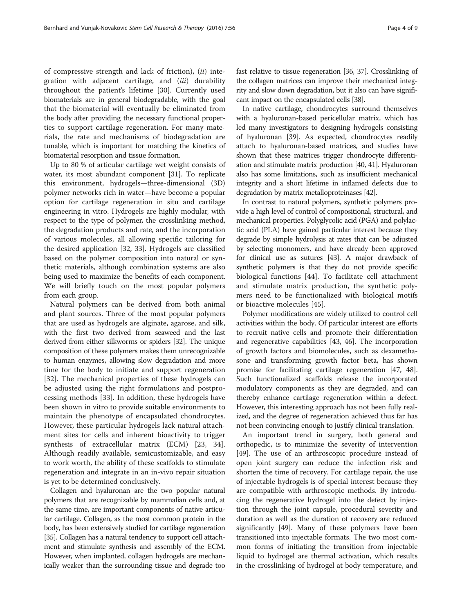of compressive strength and lack of friction),  $(ii)$  integration with adjacent cartilage, and (iii) durability throughout the patient's lifetime [[30\]](#page-7-0). Currently used biomaterials are in general biodegradable, with the goal that the biomaterial will eventually be eliminated from the body after providing the necessary functional properties to support cartilage regeneration. For many materials, the rate and mechanisms of biodegradation are tunable, which is important for matching the kinetics of biomaterial resorption and tissue formation.

Up to 80 % of articular cartilage wet weight consists of water, its most abundant component [\[31](#page-7-0)]. To replicate this environment, hydrogels—three-dimensional (3D) polymer networks rich in water—have become a popular option for cartilage regeneration in situ and cartilage engineering in vitro. Hydrogels are highly modular, with respect to the type of polymer, the crosslinking method, the degradation products and rate, and the incorporation of various molecules, all allowing specific tailoring for the desired application [\[32, 33\]](#page-7-0). Hydrogels are classified based on the polymer composition into natural or synthetic materials, although combination systems are also being used to maximize the benefits of each component. We will briefly touch on the most popular polymers from each group.

Natural polymers can be derived from both animal and plant sources. Three of the most popular polymers that are used as hydrogels are alginate, agarose, and silk, with the first two derived from seaweed and the last derived from either silkworms or spiders [\[32\]](#page-7-0). The unique composition of these polymers makes them unrecognizable to human enzymes, allowing slow degradation and more time for the body to initiate and support regeneration [[32\]](#page-7-0). The mechanical properties of these hydrogels can be adjusted using the right formulations and postprocessing methods [\[33](#page-7-0)]. In addition, these hydrogels have been shown in vitro to provide suitable environments to maintain the phenotype of encapsulated chondrocytes. However, these particular hydrogels lack natural attachment sites for cells and inherent bioactivity to trigger synthesis of extracellular matrix (ECM) [\[23](#page-6-0), [34](#page-7-0)]. Although readily available, semicustomizable, and easy to work worth, the ability of these scaffolds to stimulate regeneration and integrate in an in-vivo repair situation is yet to be determined conclusively.

Collagen and hyaluronan are the two popular natural polymers that are recognizable by mammalian cells and, at the same time, are important components of native articular cartilage. Collagen, as the most common protein in the body, has been extensively studied for cartilage regeneration [[35](#page-7-0)]. Collagen has a natural tendency to support cell attachment and stimulate synthesis and assembly of the ECM. However, when implanted, collagen hydrogels are mechanically weaker than the surrounding tissue and degrade too

fast relative to tissue regeneration [[36](#page-7-0), [37](#page-7-0)]. Crosslinking of the collagen matrices can improve their mechanical integrity and slow down degradation, but it also can have significant impact on the encapsulated cells [[38](#page-7-0)].

In native cartilage, chondrocytes surround themselves with a hyaluronan-based pericellular matrix, which has led many investigators to designing hydrogels consisting of hyaluronan [[39](#page-7-0)]. As expected, chondrocytes readily attach to hyaluronan-based matrices, and studies have shown that these matrices trigger chondrocyte differentiation and stimulate matrix production [[40](#page-7-0), [41](#page-7-0)]. Hyaluronan also has some limitations, such as insufficient mechanical integrity and a short lifetime in inflamed defects due to degradation by matrix metalloproteinases [\[42\]](#page-7-0).

In contrast to natural polymers, synthetic polymers provide a high level of control of compositional, structural, and mechanical properties. Polyglycolic acid (PGA) and polylactic acid (PLA) have gained particular interest because they degrade by simple hydrolysis at rates that can be adjusted by selecting monomers, and have already been approved for clinical use as sutures [\[43\]](#page-7-0). A major drawback of synthetic polymers is that they do not provide specific biological functions [[44](#page-7-0)]. To facilitate cell attachment and stimulate matrix production, the synthetic polymers need to be functionalized with biological motifs or bioactive molecules [\[45](#page-7-0)].

Polymer modifications are widely utilized to control cell activities within the body. Of particular interest are efforts to recruit native cells and promote their differentiation and regenerative capabilities [\[43](#page-7-0), [46](#page-7-0)]. The incorporation of growth factors and biomolecules, such as dexamethasone and transforming growth factor beta, has shown promise for facilitating cartilage regeneration [\[47, 48](#page-7-0)]. Such functionalized scaffolds release the incorporated modulatory components as they are degraded, and can thereby enhance cartilage regeneration within a defect. However, this interesting approach has not been fully realized, and the degree of regeneration achieved thus far has not been convincing enough to justify clinical translation.

An important trend in surgery, both general and orthopedic, is to minimize the severity of intervention [[49\]](#page-7-0). The use of an arthroscopic procedure instead of open joint surgery can reduce the infection risk and shorten the time of recovery. For cartilage repair, the use of injectable hydrogels is of special interest because they are compatible with arthroscopic methods. By introducing the regenerative hydrogel into the defect by injection through the joint capsule, procedural severity and duration as well as the duration of recovery are reduced significantly [\[49](#page-7-0)]. Many of these polymers have been transitioned into injectable formats. The two most common forms of initiating the transition from injectable liquid to hydrogel are thermal activation, which results in the crosslinking of hydrogel at body temperature, and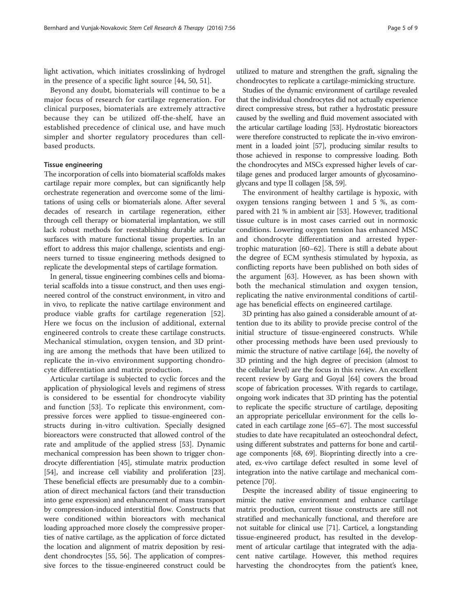light activation, which initiates crosslinking of hydrogel in the presence of a specific light source [[44, 50, 51](#page-7-0)].

Beyond any doubt, biomaterials will continue to be a major focus of research for cartilage regeneration. For clinical purposes, biomaterials are extremely attractive because they can be utilized off-the-shelf, have an established precedence of clinical use, and have much simpler and shorter regulatory procedures than cellbased products.

### Tissue engineering

The incorporation of cells into biomaterial scaffolds makes cartilage repair more complex, but can significantly help orchestrate regeneration and overcome some of the limitations of using cells or biomaterials alone. After several decades of research in cartilage regeneration, either through cell therapy or biomaterial implantation, we still lack robust methods for reestablishing durable articular surfaces with mature functional tissue properties. In an effort to address this major challenge, scientists and engineers turned to tissue engineering methods designed to replicate the developmental steps of cartilage formation.

In general, tissue engineering combines cells and biomaterial scaffolds into a tissue construct, and then uses engineered control of the construct environment, in vitro and in vivo, to replicate the native cartilage environment and produce viable grafts for cartilage regeneration [\[52](#page-7-0)]. Here we focus on the inclusion of additional, external engineered controls to create these cartilage constructs. Mechanical stimulation, oxygen tension, and 3D printing are among the methods that have been utilized to replicate the in-vivo environment supporting chondrocyte differentiation and matrix production.

Articular cartilage is subjected to cyclic forces and the application of physiological levels and regimens of stress is considered to be essential for chondrocyte viability and function [[53](#page-7-0)]. To replicate this environment, compressive forces were applied to tissue-engineered constructs during in-vitro cultivation. Specially designed bioreactors were constructed that allowed control of the rate and amplitude of the applied stress [[53](#page-7-0)]. Dynamic mechanical compression has been shown to trigger chondrocyte differentiation [[45\]](#page-7-0), stimulate matrix production [[54](#page-7-0)], and increase cell viability and proliferation [[23](#page-6-0)]. These beneficial effects are presumably due to a combination of direct mechanical factors (and their transduction into gene expression) and enhancement of mass transport by compression-induced interstitial flow. Constructs that were conditioned within bioreactors with mechanical loading approached more closely the compressive properties of native cartilage, as the application of force dictated the location and alignment of matrix deposition by resident chondrocytes [[55](#page-7-0), [56](#page-7-0)]. The application of compressive forces to the tissue-engineered construct could be

utilized to mature and strengthen the graft, signaling the chondrocytes to replicate a cartilage-mimicking structure.

Studies of the dynamic environment of cartilage revealed that the individual chondrocytes did not actually experience direct compressive stress, but rather a hydrostatic pressure caused by the swelling and fluid movement associated with the articular cartilage loading [\[53\]](#page-7-0). Hydrostatic bioreactors were therefore constructed to replicate the in-vivo environment in a loaded joint [\[57\]](#page-7-0), producing similar results to those achieved in response to compressive loading. Both the chondrocytes and MSCs expressed higher levels of cartilage genes and produced larger amounts of glycosaminoglycans and type II collagen [\[58, 59\]](#page-7-0).

The environment of healthy cartilage is hypoxic, with oxygen tensions ranging between 1 and 5 %, as compared with 21 % in ambient air [\[53](#page-7-0)]. However, traditional tissue culture is in most cases carried out in normoxic conditions. Lowering oxygen tension has enhanced MSC and chondrocyte differentiation and arrested hypertrophic maturation [\[60](#page-7-0)–[62\]](#page-7-0). There is still a debate about the degree of ECM synthesis stimulated by hypoxia, as conflicting reports have been published on both sides of the argument [[63\]](#page-7-0). However, as has been shown with both the mechanical stimulation and oxygen tension, replicating the native environmental conditions of cartilage has beneficial effects on engineered cartilage.

3D printing has also gained a considerable amount of attention due to its ability to provide precise control of the initial structure of tissue-engineered constructs. While other processing methods have been used previously to mimic the structure of native cartilage [\[64\]](#page-7-0), the novelty of 3D printing and the high degree of precision (almost to the cellular level) are the focus in this review. An excellent recent review by Garg and Goyal [[64](#page-7-0)] covers the broad scope of fabrication processes. With regards to cartilage, ongoing work indicates that 3D printing has the potential to replicate the specific structure of cartilage, depositing an appropriate pericellular environment for the cells located in each cartilage zone [\[65](#page-7-0)–[67](#page-7-0)]. The most successful studies to date have recapitulated an osteochondral defect, using different substrates and patterns for bone and cartilage components [\[68, 69](#page-7-0)]. Bioprinting directly into a created, ex-vivo cartilage defect resulted in some level of integration into the native cartilage and mechanical competence [\[70\]](#page-8-0).

Despite the increased ability of tissue engineering to mimic the native environment and enhance cartilage matrix production, current tissue constructs are still not stratified and mechanically functional, and therefore are not suitable for clinical use [[71](#page-8-0)]. Carticel, a longstanding tissue-engineered product, has resulted in the development of articular cartilage that integrated with the adjacent native cartilage. However, this method requires harvesting the chondrocytes from the patient's knee,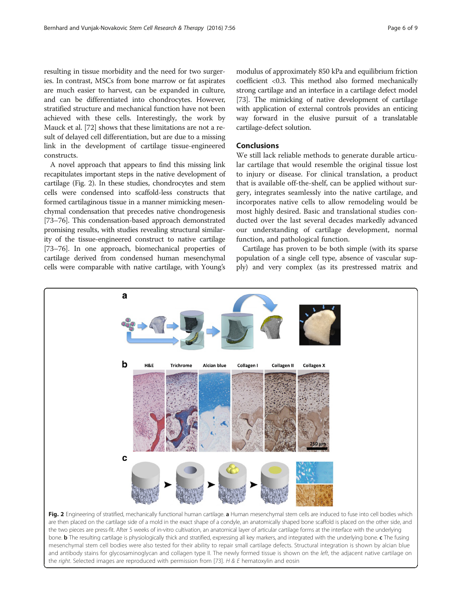resulting in tissue morbidity and the need for two surgeries. In contrast, MSCs from bone marrow or fat aspirates are much easier to harvest, can be expanded in culture, and can be differentiated into chondrocytes. However, stratified structure and mechanical function have not been achieved with these cells. Interestingly, the work by Mauck et al. [[72](#page-8-0)] shows that these limitations are not a result of delayed cell differentiation, but are due to a missing link in the development of cartilage tissue-engineered constructs.

A novel approach that appears to find this missing link recapitulates important steps in the native development of cartilage (Fig. 2). In these studies, chondrocytes and stem cells were condensed into scaffold-less constructs that formed cartilaginous tissue in a manner mimicking mesenchymal condensation that precedes native chondrogenesis [[73](#page-8-0)–[76\]](#page-8-0). This condensation-based approach demonstrated promising results, with studies revealing structural similarity of the tissue-engineered construct to native cartilage [[73](#page-8-0)–[76\]](#page-8-0). In one approach, biomechanical properties of cartilage derived from condensed human mesenchymal cells were comparable with native cartilage, with Young's modulus of approximately 850 kPa and equilibrium friction coefficient <0.3. This method also formed mechanically strong cartilage and an interface in a cartilage defect model [[73](#page-8-0)]. The mimicking of native development of cartilage with application of external controls provides an enticing way forward in the elusive pursuit of a translatable cartilage-defect solution.

## Conclusions

We still lack reliable methods to generate durable articular cartilage that would resemble the original tissue lost to injury or disease. For clinical translation, a product that is available off-the-shelf, can be applied without surgery, integrates seamlessly into the native cartilage, and incorporates native cells to allow remodeling would be most highly desired. Basic and translational studies conducted over the last several decades markedly advanced our understanding of cartilage development, normal function, and pathological function.

Cartilage has proven to be both simple (with its sparse population of a single cell type, absence of vascular supply) and very complex (as its prestressed matrix and



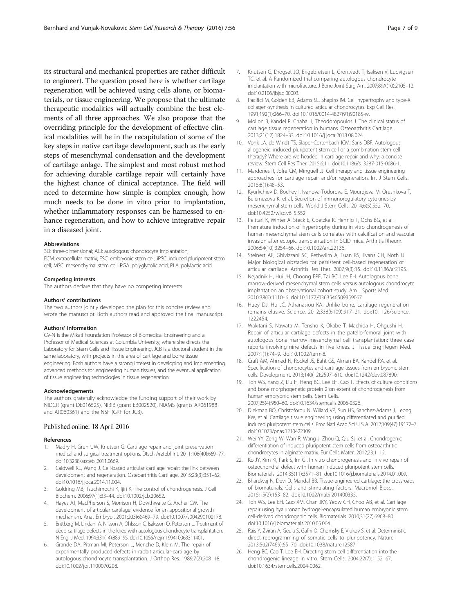<span id="page-6-0"></span>its structural and mechanical properties are rather difficult to engineer). The question posed here is whether cartilage regeneration will be achieved using cells alone, or biomaterials, or tissue engineering. We propose that the ultimate therapeutic modalities will actually combine the best elements of all three approaches. We also propose that the overriding principle for the development of effective clinical modalities will be in the recapitulation of some of the key steps in native cartilage development, such as the early steps of mesenchymal condensation and the development of cartilage anlage. The simplest and most robust method for achieving durable cartilage repair will certainly have the highest chance of clinical acceptance. The field will need to determine how simple is complex enough, how much needs to be done in vitro prior to implantation, whether inflammatory responses can be harnessed to enhance regeneration, and how to achieve integrative repair in a diseased joint.

#### Abbreviations

3D: three-dimensional; ACI: autologous chondrocyte implantation;

ECM: extracellular matrix; ESC: embryonic stem cell; iPSC: induced pluripotent stem cell; MSC: mesenchymal stem cell; PGA: polyglycolic acid; PLA: polylactic acid.

#### Competing interests

The authors declare that they have no competing interests.

#### Authors' contributions

The two authors jointly developed the plan for this concise review and wrote the manuscript. Both authors read and approved the final manuscript.

#### Authors' information

GV-N is the Mikati Foundation Professor of Biomedical Engineering and a Professor of Medical Sciences at Columbia University, where she directs the Laboratory for Stem Cells and Tissue Engineering. JCB is a doctoral student in the same laboratory, with projects in the area of cartilage and bone tissue engineering. Both authors have a strong interest in developing and implementing advanced methods for engineering human tissues, and the eventual application of tissue engineering technologies in tissue regeneration.

#### Acknowledgements

The authors gratefully acknowledge the funding support of their work by NIDCR (grant DE016525), NIBIB (grant EB002520), NIAMS (grants AR061988 and AR060361) and the NSF (GRF for JCB).

### Published online: 18 April 2016

#### References

- 1. Madry H, Grun UW, Knutsen G. Cartilage repair and joint preservation medical and surgical treatment options. Dtsch Arztebl Int. 2011;108(40):669–77. doi:[10.3238/arztebl.2011.0669](http://dx.doi.org/10.3238/arztebl.2011.0669).
- 2. Caldwell KL, Wang J. Cell-based articular cartilage repair: the link between development and regeneration. Osteoarthritis Cartilage. 2015;23(3):351–62. doi[:10.1016/j.joca.2014.11.004.](http://dx.doi.org/10.1016/j.joca.2014.11.004)
- 3. Goldring MB, Tsuchimochi K, Ijiri K. The control of chondrogenesis. J Cell Biochem. 2006;97(1):33–44. doi:[10.1002/jcb.20652.](http://dx.doi.org/10.1002/jcb.20652)
- Hayes AJ, MacPherson S, Morrison H, Dowthwaite G, Archer CW. The development of articular cartilage: evidence for an appositional growth mechanism. Anat Embryol. 2001;203(6):469–79. doi:[10.1007/s004290100178](http://dx.doi.org/10.1007/s004290100178).
- Brittberg M, Lindahl A, Nilsson A, Ohlsson C, Isaksson O, Peterson L. Treatment of deep cartilage defects in the knee with autologous chondrocyte transplantation. N Engl J Med. 1994;331(14):889–95. doi[:10.1056/nejm199410063311401.](http://dx.doi.org/10.1056/nejm199410063311401)
- Grande DA, Pitman MI, Peterson L, Menche D, Klein M. The repair of experimentally produced defects in rabbit articular-cartilage by autologous chondrocyte transplantation. J Orthop Res. 1989;7(2):208–18. doi[:10.1002/jor.1100070208](http://dx.doi.org/10.1002/jor.1100070208).
- 7. Knutsen G, Drogset JO, Engebretsen L, Grontvedt T, Isaksen V, Ludvigsen TC, et al. A Randomized trial comparing autologous chondrocyte implantation with microfracture. J Bone Joint Surg Am. 2007;89A(10):2105–12. doi:[10.2106/jbjs.g.00003.](http://dx.doi.org/10.2106/jbjs.g.00003)
- 8. Pacifici M, Golden EB, Adams SL, Shapiro IM. Cell hypertrophy and type-X collagen-synthesis in cultured articular chondrocytes. Exp Cell Res. 1991;192(1):266–70. doi[:10.1016/0014-4827\(91\)90185-w.](http://dx.doi.org/10.1016/0014-4827(91)90185-w)
- 9. Mollon B, Kandel R, Chahal J, Theodoropoulos J. The clinical status of cartilage tissue regeneration in humans. Osteoarthritis Cartilage. 2013;21(12):1824–33. doi:[10.1016/j.joca.2013.08.024.](http://dx.doi.org/10.1016/j.joca.2013.08.024)
- 10. Vonk LA, de Windt TS, Slaper-Cortenbach ICM, Saris DBF. Autologous, allogeneic, induced pluripotent stem cell or a combination stem cell therapy? Where are we headed in cartilage repair and why: a concise review. Stem Cell Res Ther. 2015;6:11. doi[:10.1186/s13287-015-0086-1.](http://dx.doi.org/10.1186/s13287-015-0086-1)
- 11. Mardones R, Jofre CM, Minguell JJ. Cell therapy and tissue engineering approaches for cartilage repair and/or regeneration. Int J Stem Cells. 2015;8(1):48–53.
- 12. Kyurkchiev D, Bochev I, Ivanova-Todorova E, Mourdjeva M, Oreshkova T, Belemezova K, et al. Secretion of immunoregulatory cytokines by mesenchymal stem cells. World J Stem Cells. 2014;6(5):552–70. doi[:10.4252/wjsc.v6.i5.552](http://dx.doi.org/10.4252/wjsc.v6.i5.552).
- 13. Pelttari K, Winter A, Steck E, Goetzke K, Hennig T, Ochs BG, et al. Premature induction of hypertrophy during in vitro chondrogenesis of human mesenchymal stem cells correlates with calcification and vascular invasion after ectopic transplantation in SCID mice. Arthritis Rheum. 2006;54(10):3254–66. doi:[10.1002/art.22136](http://dx.doi.org/10.1002/art.22136).
- 14. Steinert AF, Ghivizzani SC, Rethwilm A, Tuan RS, Evans CH, Noth U. Major biological obstacles for persistent cell-based regeneration of articular cartilage. Arthritis Res Ther. 2007;9(3):15. doi[:10.1186/ar2195.](http://dx.doi.org/10.1186/ar2195)
- 15. Nejadnik H, Hui JH, Choong EPF, Tai BC, Lee EH. Autologous bone marrow-derived mesenchymal stem cells versus autologous chondrocyte implantation an observational cohort study. Am J Sports Med. 2010;38(6):1110–6. doi:[10.1177/0363546509359067.](http://dx.doi.org/10.1177/0363546509359067)
- 16. Huey DJ, Hu JC, Athanasiou KA. Unlike bone, cartilage regeneration remains elusive. Science. 2012;338(6109):917–21. doi:[10.1126/science.](http://dx.doi.org/10.1126/science.1222454) [1222454.](http://dx.doi.org/10.1126/science.1222454)
- 17. Wakitani S, Nawata M, Tensho K, Okabe T, Machida H, Ohgushi H. Repair of articular cartilage defects in the patello-femoral joint with autologous bone marrow mesenchymal cell transplantation: three case reports involving nine defects in five knees. J Tissue Eng Regen Med. 2007;1(1):74–9. doi[:10.1002/term.8.](http://dx.doi.org/10.1002/term.8)
- 18. Craft AM, Ahmed N, Rockel JS, Baht GS, Alman BA, Kandel RA, et al. Specification of chondrocytes and cartilage tissues from embryonic stem cells. Development. 2013;140(12):2597–610. doi[:10.1242/dev.087890](http://dx.doi.org/10.1242/dev.087890).
- 19. Toh WS, Yang Z, Liu H, Heng BC, Lee EH, Cao T. Effects of culture conditions and bone morphogenetic protein 2 on extent of chondrogenesis from human embryonic stem cells. Stem Cells. 2007;25(4):950–60. doi:[10.1634/stemcells.2006-0326.](http://dx.doi.org/10.1634/stemcells.2006-0326)
- 20. Diekman BO, Christoforou N, Willard VP, Sun HS, Sanchez-Adams J, Leong KW, et al. Cartilage tissue engineering using differentiated and purified induced pluripotent stem cells. Proc Natl Acad Sci U S A. 2012;109(47):19172–7. doi:[10.1073/pnas.1210422109](http://dx.doi.org/10.1073/pnas.1210422109).
- 21. Wei YY, Zeng W, Wan R, Wang J, Zhou Q, Qiu SJ, et al. Chondrogenic differentiation of induced pluripotent stem cells from osteoarthritic chondrocytes in alginate matrix. Eur Cells Mater. 2012;23:1–12.
- 22. Ko JY, Kim KI, Park S, Im GI. In vitro chondrogenesis and in vivo repair of osteochondral defect with human induced pluripotent stem cells. Biomaterials. 2014;35(11):3571–81. doi[:10.1016/j.biomaterials.2014.01.009.](http://dx.doi.org/10.1016/j.biomaterials.2014.01.009)
- 23. Bhardwaj N, Devi D, Mandal BB. Tissue-engineered cartilage: the crossroads of biomaterials. Cells and stimulating factors. Macromol Biosci. 2015;15(2):153–82. doi:[10.1002/mabi.201400335.](http://dx.doi.org/10.1002/mabi.201400335)
- 24. Toh WS, Lee EH, Guo XM, Chan JKY, Yeow CH, Choo AB, et al. Cartilage repair using hyaluronan hydrogel-encapsulated human embryonic stem cell-derived chondrogenic cells. Biomaterials. 2010;31(27):6968–80. doi[:10.1016/j.biomaterials.2010.05.064.](http://dx.doi.org/10.1016/j.biomaterials.2010.05.064)
- 25. Rais Y, Zviran A, Geula S, Gafni O, Chomsky E, Viukov S, et al. Deterministic direct reprogramming of somatic cells to pluripotency. Nature. 2013;502(7469):65–70. doi[:10.1038/nature12587](http://dx.doi.org/10.1038/nature12587).
- 26. Heng BC, Cao T, Lee EH. Directing stem cell differentiation into the chondrogenic lineage in vitro. Stem Cells. 2004;22(7):1152–67. doi[:10.1634/stemcells.2004-0062.](http://dx.doi.org/10.1634/stemcells.2004-0062)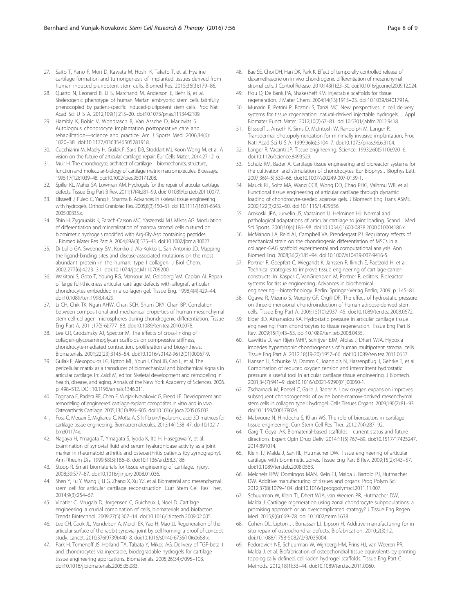- <span id="page-7-0"></span>27. Saito T, Yano F, Mori D, Kawata M, Hoshi K, Takato T, et al. Hyaline cartilage formation and tumorigenesis of implanted tissues derived from human induced pluripotent stem cells. Biomed Res. 2015;36(3):179–86.
- 28. Quarto N, Leonard B, Li S, Marchand M, Anderson E, Behr B, et al. Skeletogenic phenotype of human Marfan embryonic stem cells faithfully phenocopied by patient-specific induced-pluripotent stem cells. Proc Natl Acad Sci U S A. 2012;109(1):215–20. doi[:10.1073/pnas.1113442109](http://dx.doi.org/10.1073/pnas.1113442109).
- 29. Hambly K, Bobic V, Wondrasch B, Van Assche D, Marlovits S. Autologous chondrocyte implantation postoperative care and rehabilitation—science and practice. Am J Sports Med. 2006;34(6): 1020–38. doi[:10.1177/0363546505281918.](http://dx.doi.org/10.1177/0363546505281918)
- 30. Cucchiarini M, Madry H, Guilak F, Saris DB, Stoddart MJ, Koon Wong M, et al. A vision on the future of articular cartilage repair. Eur Cells Mater. 2014;27:12–6.
- 31. Muir H. The chondrocyte, architect of cartilage—biomechanics, structure, function and molecular-biology of cartilage matrix macromolecules. Bioessays. 1995;17(12):1039–48. doi[:10.1002/bies.950171208](http://dx.doi.org/10.1002/bies.950171208).
- 32. Spiller KL, Maher SA, Lowman AM. Hydrogels for the repair of articular cartilage defects. Tissue Eng Part B Rev. 2011;17(4):281–99. doi:[10.1089/ten.teb.2011.0077.](http://dx.doi.org/10.1089/ten.teb.2011.0077)
- 33. Elisseeff J, Puleo C, Yang F, Sharma B. Advances in skeletal tissue engineering with hydrogels. Orthod Craniofac Res. 2005;8(3):150–61. doi[:10.1111/j.1601-6343.](http://dx.doi.org/10.1111/j.1601-6343.2005.00335.x) [2005.00335.x.](http://dx.doi.org/10.1111/j.1601-6343.2005.00335.x)
- 34. Shin H, Zygourakis K, Farach-Carson MC, Yaszemski MJ, Mikos AG. Modulation of differentiation and mineralization of marrow stromal cells cultured on biomimetic hydrogels modified with Arg-Gly-Asp containing peptides. J Biomed Mater Res Part A. 2004;69A(3):535–43. doi[:10.1002/jbm.a.30027](http://dx.doi.org/10.1002/jbm.a.30027).
- 35. Di Lullo GA, Sweeney SM, Korkko J, Ala-Kokko L, San Antonio JD. Mapping the ligand-binding sites and disease-associated mutations on the most abundant protein in the human, type I collagen. J Biol Chem. 2002;277(6):4223–31. doi:[10.1074/jbc.M110709200.](http://dx.doi.org/10.1074/jbc.M110709200)
- 36. Wakitani S, Goto T, Young RG, Mansour JM, Goldberg VM, Caplan AI. Repair of large full-thickness articular cartilage defects with allograft articular chondrocytes embedded in a collagen gel. Tissue Eng. 1998;4(4):429–44. doi[:10.1089/ten.1998.4.429](http://dx.doi.org/10.1089/ten.1998.4.429).
- 37. Li CH, Chik TK, Ngan AHW, Chan SCH, Shum DKY, Chan BP. Correlation between compositional and mechanical properties of human mesenchymal stem cell-collagen microspheres during chondrogenic differentiation. Tissue Eng Part A. 2011;17(5-6):777–88. doi[:10.1089/ten.tea.2010.0078](http://dx.doi.org/10.1089/ten.tea.2010.0078).
- 38. Lee CR, Grodzinsky AJ, Spector M. The effects of cross-linking of collagen-glycosaminoglycan scaffolds on compressive stiffness, chondrocyte-mediated contraction, proliferation and biosynthesis. Biomaterials. 2001;22(23):3145–54. doi[:10.1016/s0142-9612\(01\)00067-9](http://dx.doi.org/10.1016/s0142-9612(01)00067-9).
- 39. Guilak F, Alexopoulos LG, Upton ML, Youn I, Choi JB, Cao L, et al. The pericellular matrix as a transducer of biomechanical and biochemical signals in articular cartilage. In: Zaidi M, editor. Skeletal development and remodeling in health, disease, and aging. Annals of the New York Academy of Sciences. 2006. p. 498–512. DOI: [10.1196/annals.1346.011.](http://dx.doi.org/10.1196/annals.1346.011)
- 40. Tognana E, Padera RF, Chen F, Vunjak-Novakovic G, Freed LE. Development and remodeling of engineered cartilage-explant composites in vitro and in vivo. Osteoarthritis Cartilage. 2005;13(10):896–905. doi[:10.1016/j.joca.2005.05.003.](http://dx.doi.org/10.1016/j.joca.2005.05.003)
- 41. Foss C, Merzari E, Migliaresi C, Motta A. Silk fibroin/hyaluronic acid 3D matrices for cartilage tissue engineering. Biomacromolecules. 2013;14(1):38–47. doi:[10.1021/](http://dx.doi.org/10.1021/bm301174x) [bm301174x](http://dx.doi.org/10.1021/bm301174x).
- 42. Nagaya H, Ymagata T, Ymagata S, Iyoda K, Ito H, Hasegawa Y, et al. Examination of synovial fluid and serum hyaluronidase activity as a joint marker in rheumatoid arthritis and osteoarthritis patients (by zymography). Ann Rheum Dis. 1999;58(3):186–8. doi:[10.1136/ard.58.3.186](http://dx.doi.org/10.1136/ard.58.3.186).
- 43. Stoop R. Smart biomaterials for tissue engineering of cartilage. Injury. 2008;39:S77–87. doi:[10.1016/j.injury.2008.01.036](http://dx.doi.org/10.1016/j.injury.2008.01.036).
- 44. Shen Y, Fu Y, Wang J, Li G, Zhang X, Xu YZ, et al. Biomaterial and mesenchymal stem cell for articular cartilage reconstruction. Curr Stem Cell Res Ther. 2014;9(3):254–67.
- 45. Vinatier C, Mrugala D, Jorgensen C, Guicheux J, Noel D. Cartilage engineering: a crucial combination of cells, biomaterials and biofactors. Trends Biotechnol. 2009;27(5):307–14. doi:[10.1016/j.tibtech.2009.02.005.](http://dx.doi.org/10.1016/j.tibtech.2009.02.005)
- 46. Lee CH, Cook JL, Mendelson A, Moioli EK, Yao H, Mao JJ. Regeneration of the articular surface of the rabbit synovial joint by cell homing: a proof of concept study. Lancet. 2010;376(9739):440–8. doi[:10.1016/s0140-6736\(10\)60668-x](http://dx.doi.org/10.1016/s0140-6736(10)60668-x).
- 47. Park H, Temenoff JS, Holland TA, Tabata Y, Mikos AG. Delivery of TGF-beta 1 and chondrocytes via injectable, biodegradable hydrogels for cartilage tissue engineering applications. Biomaterials. 2005;26(34):7095–103. doi[:10.1016/j.biomaterials.2005.05.083.](http://dx.doi.org/10.1016/j.biomaterials.2005.05.083)
- 48. Bae SE, Choi DH, Han DK, Park K. Effect of temporally controlled release of dexamethasone on in vivo chondrogenic differentiation of mesenchymal stromal cells. J Control Release. 2010;143(1):23–30. doi[:10.1016/j.jconrel.2009.12.024.](http://dx.doi.org/10.1016/j.jconrel.2009.12.024)
- 49. Hou Q, De Bank PA, Shakesheff KM. Injectable scaffolds for tissue regeneration. J Mater Chem. 2004;14(13):1915–23. doi:[10.1039/B401791A](http://dx.doi.org/10.1039/B401791A).
- 50. Munarin F, Petrini P, Bozzini S, Tanzi MC. New perspectives in cell delivery systems for tissue regeneration: natural-derived injectable hydrogels. J Appl Biomater Funct Mater. 2012;10(2):67–81. doi[:10.5301/jabfm.2012.9418](http://dx.doi.org/10.5301/jabfm.2012.9418).
- 51. Elisseeff J, Anseth K, Sims D, McIntosh W, Randolph M, Langer R. Transdermal photopolymerization for minimally invasive implantation. Proc Natl Acad Sci U S A. 1999;96(6):3104–7. doi[:10.1073/pnas.96.6.3104](http://dx.doi.org/10.1073/pnas.96.6.3104).
- 52. Langer R, Vacanti JP. Tissue engineering. Science. 1993;260(5110):920–6. doi[:10.1126/science.8493529](http://dx.doi.org/10.1126/science.8493529).
- 53. Schulz RM, Bader A. Cartilage tissue engineering and bioreactor systems for the cultivation and stimulation of chondrocytes. Eur Biophys J Biophys Lett. 2007;36(4-5):539–68. doi[:10.1007/s00249-007-0139-1.](http://dx.doi.org/10.1007/s00249-007-0139-1)
- 54. Mauck RL, Soltz MA, Wang CCB, Wong DD, Chao PHG, Valhmu WB, et al. Functional tissue engineering of articular cartilage through dynamic loading of chondrocyte-seeded agarose gels. J Biomech Eng Trans ASME. 2000;122(3):252–60. doi[:10.1115/1.429656.](http://dx.doi.org/10.1115/1.429656)
- 55. Arokoski JPA, Jurvelin JS, Vaatainen U, Helminen HJ. Normal and pathological adaptations of articular cartilage to joint loading. Scand J Med Sci Sports. 2000;10(4):186–98. doi:[10.1034/j.1600-0838.2000.010004186.x](http://dx.doi.org/10.1034/j.1600-0838.2000.010004186.x).
- 56. McMahon LA, Reid AJ, Campbell VA, Prendergast PJ. Regulatory effects of mechanical strain on the chondrogenic differentiation of MSCs in a collagen-GAG scaffold: experimental and computational analysis. Ann Biomed Eng. 2008;36(2):185–94. doi[:10.1007/s10439-007-9416-5.](http://dx.doi.org/10.1007/s10439-007-9416-5)
- 57. Portner R, Goepfert C, Wiegandt K, Janssen R, Ilinich E, Paetzold H, et al. Technical strategies to improve tissue engineering of cartilage-carrierconstructs. In: Kasper C, VanGriensven M, Portner R, editors. Bioreactor systems for tissue engineering. Advances in biochemical engineering—biotechnology. Berlin: Springer-Verlag Berlin; 2009. p. 145–81.
- 58. Ogawa R, Mizuno S, Murphy GF, Orgill DP. The effect of hydrostatic pressure on three-dimensional chondroinduction of human adipose-derived stem cells. Tissue Eng Part A. 2009;15(10):2937–45. doi[:10.1089/ten.tea.2008.0672](http://dx.doi.org/10.1089/ten.tea.2008.0672).
- 59. Elder BD, Athanasiou KA. Hydrostatic pressure in articular cartilage tissue engineering: from chondrocytes to tissue regeneration. Tissue Eng Part B Rev. 2009;15(1):43–53. doi[:10.1089/ten.teb.2008.0435.](http://dx.doi.org/10.1089/ten.teb.2008.0435)
- 60. Gawlitta D, van Rijen MHP, Schrijver EJM, Alblas J, Dhert WJA. Hypoxia impedes hypertrophic chondrogenesis of human multipotent stromal cells. Tissue Eng Part A. 2012;18(19-20):1957–66. doi:[10.1089/ten.tea.2011.0657.](http://dx.doi.org/10.1089/ten.tea.2011.0657)
- 61. Hansen U, Schunke M, Domm C, Ioannidis N, Hassenpflug J, Gehrke T, et al. Combination of reduced oxygen tension and intermittent hydrostatic pressure: a useful tool in articular cartilage tissue engineering. J Biomech. 2001;34(7):941–9. doi:[10.1016/s0021-9290\(01\)00050-1.](http://dx.doi.org/10.1016/s0021-9290(01)00050-1)
- 62. Zscharnack M, Poesel C, Galle J, Bader A. Low oxygen expansion improves subsequent chondrogenesis of ovine bone-marrow-derived mesenchymal stem cells in collagen type I hydrogel. Cells Tissues Organs. 2009;190(2):81–93. doi:[10.1159/000178024.](http://dx.doi.org/10.1159/000178024)
- 63. Mabvuure N, Hindocha S, Khan WS. The role of bioreactors in cartilage tissue engineering. Curr Stem Cell Res Ther. 2012;7(4):287–92.
- 64. Garg T, Goyal AK. Biomaterial-based scaffolds—current status and future directions. Expert Opin Drug Deliv. 2014;11(5):767–89. doi:[10.1517/17425247.](http://dx.doi.org/10.1517/17425247.2014.891014) [2014.891014](http://dx.doi.org/10.1517/17425247.2014.891014).
- 65. Klein TJ, Malda J, Sah RL, Hutmacher DW. Tissue engineering of articular cartilage with biomimetic zones. Tissue Eng Part B Rev. 2009;15(2):143–57. doi[:10.1089/ten.teb.2008.0563.](http://dx.doi.org/10.1089/ten.teb.2008.0563)
- 66. Melchels FPW, Domingos MAN, Klein TJ, Malda J, Bartolo PJ, Hutmacher DW. Additive manufacturing of tissues and organs. Prog Polym Sci. 2012;37(8):1079–104. doi:[10.1016/j.progpolymsci.2011.11.007.](http://dx.doi.org/10.1016/j.progpolymsci.2011.11.007)
- 67. Schuurman W, Klein TJ, Dhert WJA, van Weeren PR, Hutmacher DW, Malda J. Cartilage regeneration using zonal chondrocyte subpopulations: a promising approach or an overcomplicated strategy? J Tissue Eng Regen Med. 2015;9(6):669–78. doi:[10.1002/term.1638.](http://dx.doi.org/10.1002/term.1638)
- 68. Cohen DL, Lipton JI, Bonassar LJ, Lipson H. Additive manufacturing for in situ repair of osteochondral defects. Biofabrication. 2010;2(3):12. doi[:10.1088/1758-5082/2/3/035004](http://dx.doi.org/10.1088/1758-5082/2/3/035004).
- 69. Fedorovich NE, Schuurman W, Wijnberg HM, Prins HJ, van Weeren PR, Malda J, et al. Biofabrication of osteochondral tissue equivalents by printing topologically defined, cell-laden hydrogel scaffolds. Tissue Eng Part C Methods. 2012;18(1):33–44. doi:[10.1089/ten.tec.2011.0060.](http://dx.doi.org/10.1089/ten.tec.2011.0060)